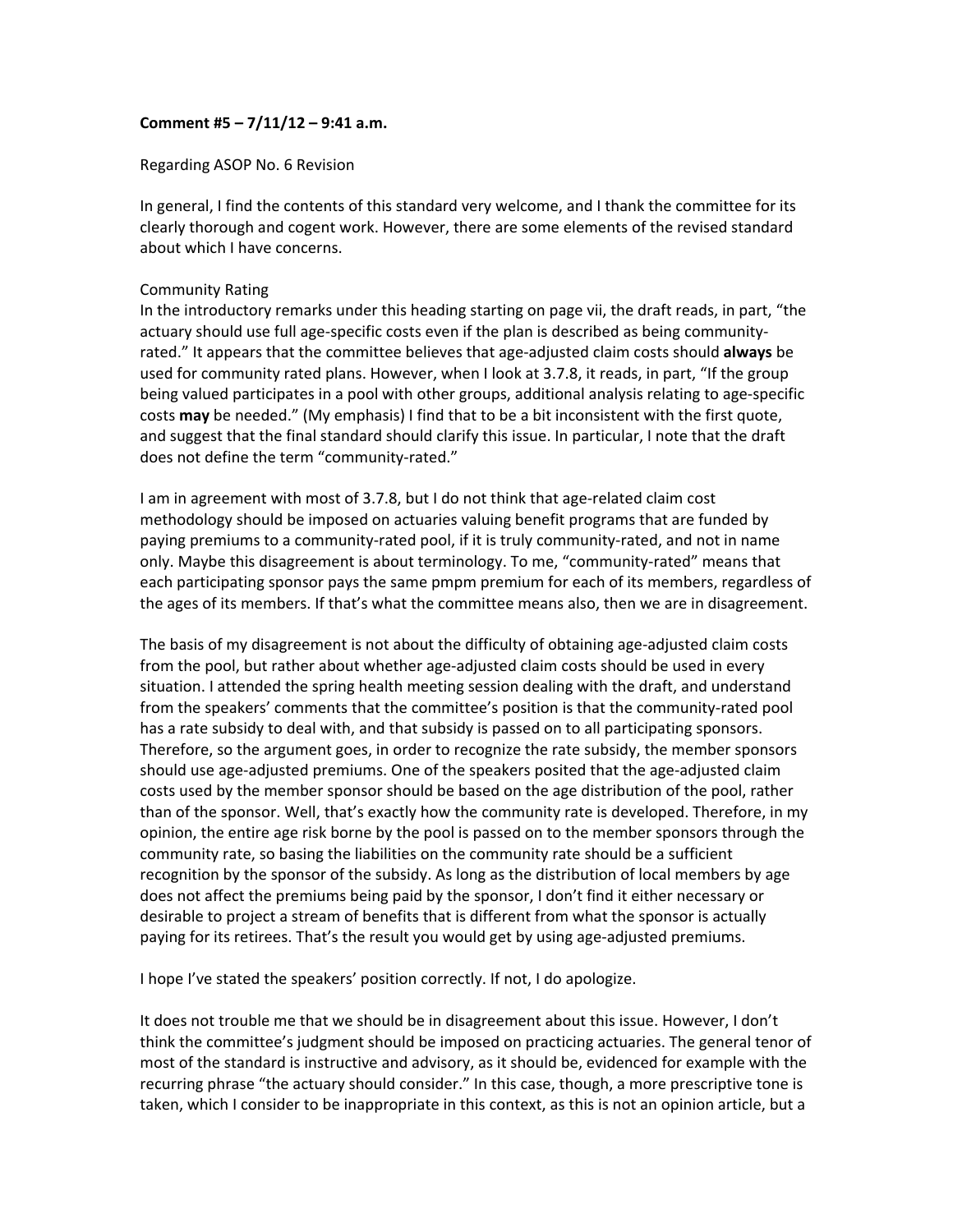## **Comment #5 – 7/11/12 – 9:41 a.m.**

Regarding ASOP No. 6 Revision

In general, I find the contents of this standard very welcome, and I thank the committee for its clearly thorough and cogent work. However, there are some elements of the revised standard about which I have concerns.

## Community Rating

In the introductory remarks under this heading starting on page vii, the draft reads, in part, "the actuary should use full age‐specific costs even if the plan is described as being community‐ rated." It appears that the committee believes that age‐adjusted claim costs should **always** be used for community rated plans. However, when I look at 3.7.8, it reads, in part, "If the group being valued participates in a pool with other groups, additional analysis relating to age‐specific costs **may** be needed." (My emphasis) I find that to be a bit inconsistent with the first quote, and suggest that the final standard should clarify this issue. In particular, I note that the draft does not define the term "community-rated."

I am in agreement with most of 3.7.8, but I do not think that age-related claim cost methodology should be imposed on actuaries valuing benefit programs that are funded by paying premiums to a community-rated pool, if it is truly community-rated, and not in name only. Maybe this disagreement is about terminology. To me, "community‐rated" means that each participating sponsor pays the same pmpm premium for each of its members, regardless of the ages of its members. If that's what the committee means also, then we are in disagreement.

The basis of my disagreement is not about the difficulty of obtaining age-adjusted claim costs from the pool, but rather about whether age-adjusted claim costs should be used in every situation. I attended the spring health meeting session dealing with the draft, and understand from the speakers' comments that the committee's position is that the community-rated pool has a rate subsidy to deal with, and that subsidy is passed on to all participating sponsors. Therefore, so the argument goes, in order to recognize the rate subsidy, the member sponsors should use age-adjusted premiums. One of the speakers posited that the age-adjusted claim costs used by the member sponsor should be based on the age distribution of the pool, rather than of the sponsor. Well, that's exactly how the community rate is developed. Therefore, in my opinion, the entire age risk borne by the pool is passed on to the member sponsors through the community rate, so basing the liabilities on the community rate should be a sufficient recognition by the sponsor of the subsidy. As long as the distribution of local members by age does not affect the premiums being paid by the sponsor, I don't find it either necessary or desirable to project a stream of benefits that is different from what the sponsor is actually paying for its retirees. That's the result you would get by using age-adjusted premiums.

I hope I've stated the speakers' position correctly. If not, I do apologize.

It does not trouble me that we should be in disagreement about this issue. However, I don't think the committee's judgment should be imposed on practicing actuaries. The general tenor of most of the standard is instructive and advisory, as it should be, evidenced for example with the recurring phrase "the actuary should consider." In this case, though, a more prescriptive tone is taken, which I consider to be inappropriate in this context, as this is not an opinion article, but a